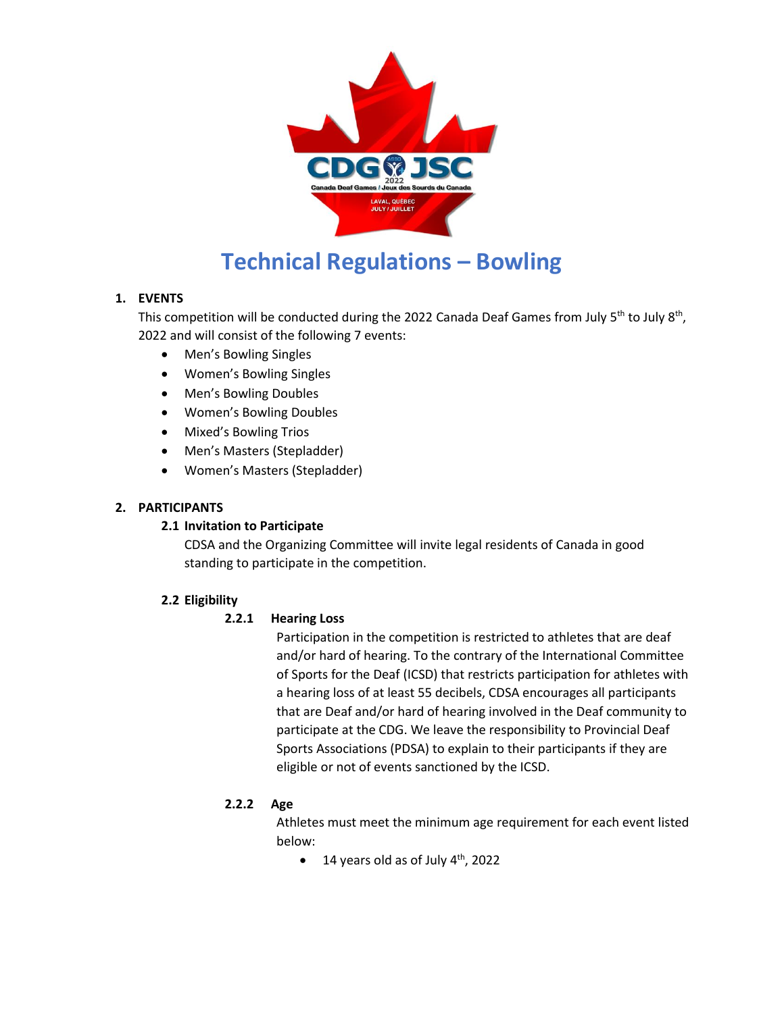

# **Technical Regulations – Bowling**

# **1. EVENTS**

This competition will be conducted during the 2022 Canada Deaf Games from July 5<sup>th</sup> to July 8<sup>th</sup>, 2022 and will consist of the following 7 events:

- Men's Bowling Singles
- Women's Bowling Singles
- Men's Bowling Doubles
- Women's Bowling Doubles
- Mixed's Bowling Trios
- Men's Masters (Stepladder)
- Women's Masters (Stepladder)

# **2. PARTICIPANTS**

# **2.1 Invitation to Participate**

CDSA and the Organizing Committee will invite legal residents of Canada in good standing to participate in the competition.

# **2.2 Eligibility**

# **2.2.1 Hearing Loss**

Participation in the competition is restricted to athletes that are deaf and/or hard of hearing. To the contrary of the International Committee of Sports for the Deaf (ICSD) that restricts participation for athletes with a hearing loss of at least 55 decibels, CDSA encourages all participants that are Deaf and/or hard of hearing involved in the Deaf community to participate at the CDG. We leave the responsibility to Provincial Deaf Sports Associations (PDSA) to explain to their participants if they are eligible or not of events sanctioned by the ICSD.

# **2.2.2 Age**

Athletes must meet the minimum age requirement for each event listed below:

 $\bullet$  14 years old as of July 4<sup>th</sup>, 2022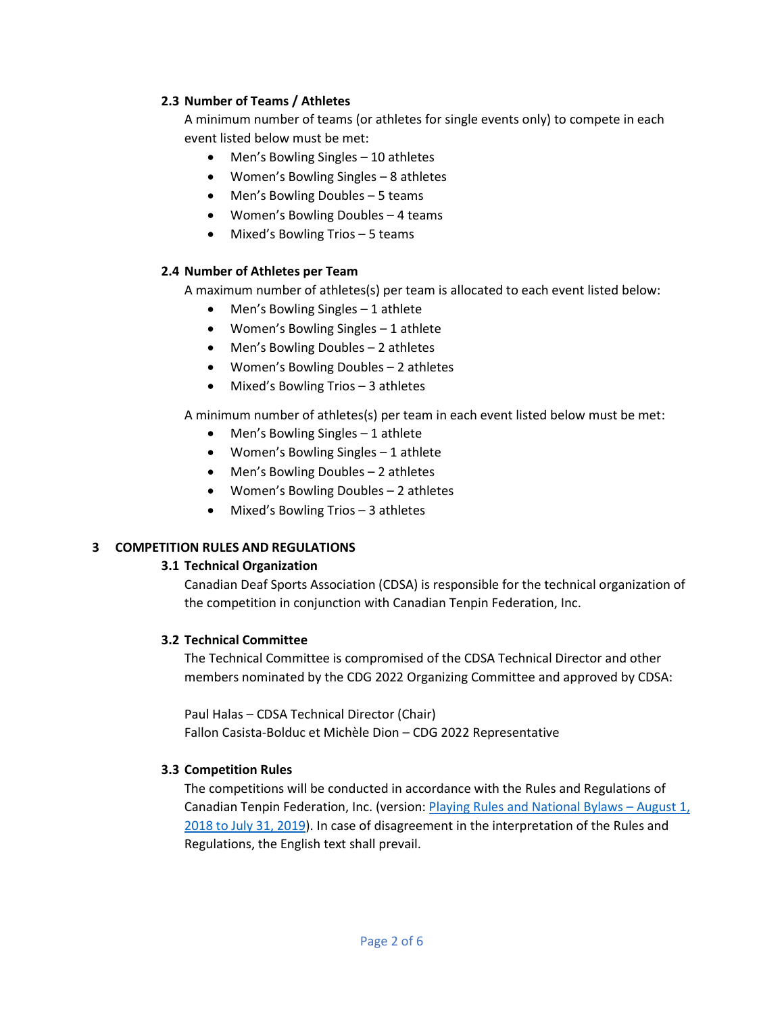# **2.3 Number of Teams / Athletes**

A minimum number of teams (or athletes for single events only) to compete in each event listed below must be met:

- Men's Bowling Singles 10 athletes
- Women's Bowling Singles 8 athletes
- Men's Bowling Doubles 5 teams
- Women's Bowling Doubles 4 teams
- Mixed's Bowling Trios 5 teams

#### **2.4 Number of Athletes per Team**

A maximum number of athletes(s) per team is allocated to each event listed below:

- Men's Bowling Singles 1 athlete
- Women's Bowling Singles 1 athlete
- Men's Bowling Doubles 2 athletes
- Women's Bowling Doubles 2 athletes
- Mixed's Bowling Trios 3 athletes

A minimum number of athletes(s) per team in each event listed below must be met:

- Men's Bowling Singles 1 athlete
- Women's Bowling Singles 1 athlete
- Men's Bowling Doubles 2 athletes
- Women's Bowling Doubles 2 athletes
- Mixed's Bowling Trios 3 athletes

# **3 COMPETITION RULES AND REGULATIONS**

#### **3.1 Technical Organization**

Canadian Deaf Sports Association (CDSA) is responsible for the technical organization of the competition in conjunction with Canadian Tenpin Federation, Inc.

#### **3.2 Technical Committee**

The Technical Committee is compromised of the CDSA Technical Director and other members nominated by the CDG 2022 Organizing Committee and approved by CDSA:

Paul Halas – CDSA Technical Director (Chair) Fallon Casista-Bolduc et Michèle Dion – CDG 2022 Representative

#### **3.3 Competition Rules**

The competitions will be conducted in accordance with the Rules and Regulations of Canadian Tenpin Federation, Inc. (version: [Playing Rules and National Bylaws](http://www.tenpincanada.com/home/wp-content/uploads/2019/01/Playing-Rules-and-Bylaws-3.pdf) – August  $1<sub>i</sub>$ [2018 to July 31, 2019\)](http://www.tenpincanada.com/home/wp-content/uploads/2019/01/Playing-Rules-and-Bylaws-3.pdf). In case of disagreement in the interpretation of the Rules and Regulations, the English text shall prevail.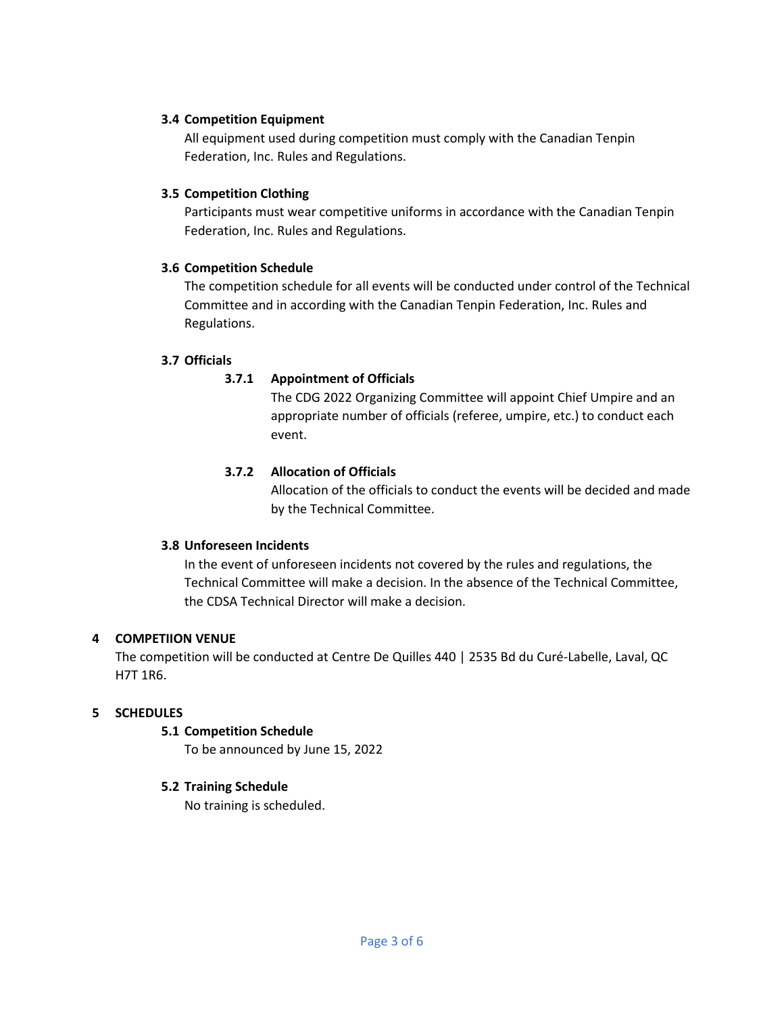#### **3.4 Competition Equipment**

All equipment used during competition must comply with the Canadian Tenpin Federation, Inc. Rules and Regulations.

#### **3.5 Competition Clothing**

Participants must wear competitive uniforms in accordance with the Canadian Tenpin Federation, Inc. Rules and Regulations.

#### **3.6 Competition Schedule**

The competition schedule for all events will be conducted under control of the Technical Committee and in according with the Canadian Tenpin Federation, Inc. Rules and Regulations.

# **3.7 Officials**

# **3.7.1 Appointment of Officials**

The CDG 2022 Organizing Committee will appoint Chief Umpire and an appropriate number of officials (referee, umpire, etc.) to conduct each event.

# **3.7.2 Allocation of Officials**

Allocation of the officials to conduct the events will be decided and made by the Technical Committee.

# **3.8 Unforeseen Incidents**

In the event of unforeseen incidents not covered by the rules and regulations, the Technical Committee will make a decision. In the absence of the Technical Committee, the CDSA Technical Director will make a decision.

# **4 COMPETIION VENUE**

The competition will be conducted at Centre De Quilles 440 | 2535 Bd du Curé-Labelle, Laval, QC H7T 1R6.

# **5 SCHEDULES**

# **5.1 Competition Schedule**

To be announced by June 15, 2022

# **5.2 Training Schedule**

No training is scheduled.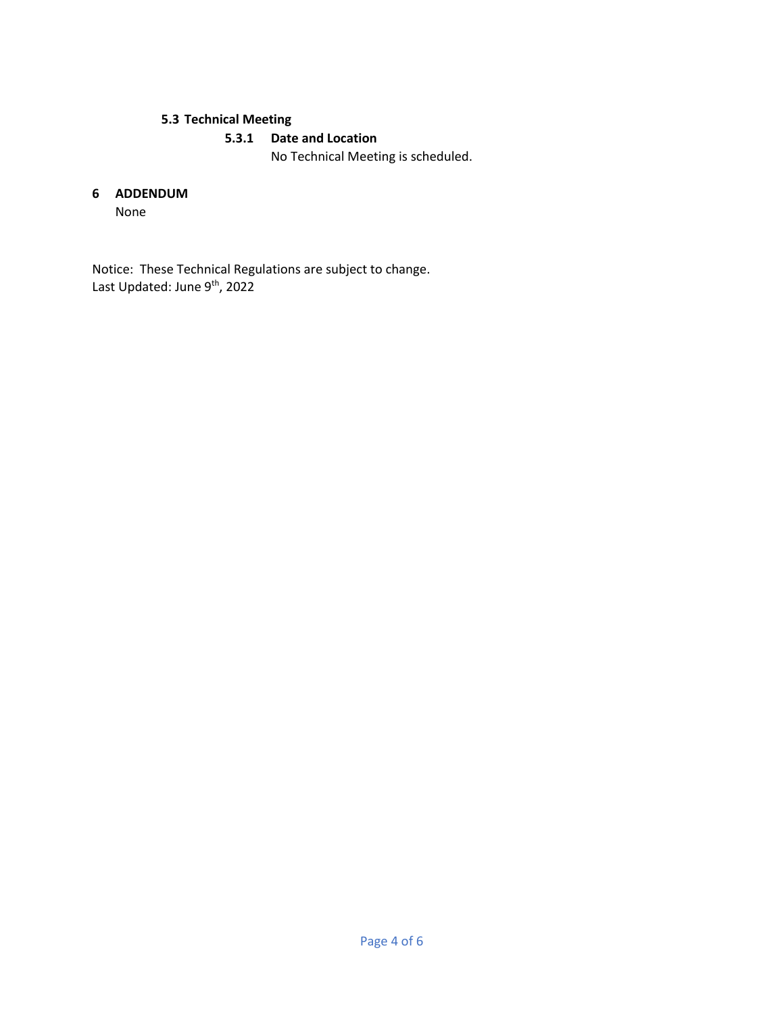# **5.3 Technical Meeting**

# **5.3.1 Date and Location**

No Technical Meeting is scheduled.

#### **6 ADDENDUM**

None

Notice: These Technical Regulations are subject to change. Last Updated: June 9<sup>th</sup>, 2022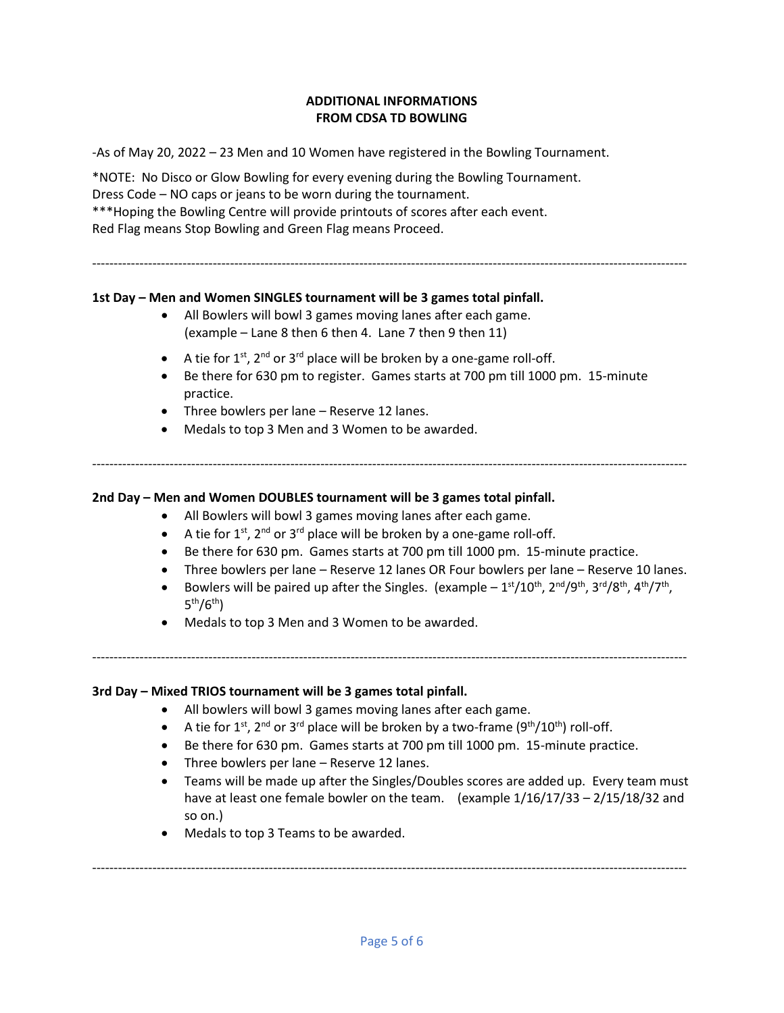#### **ADDITIONAL INFORMATIONS FROM CDSA TD BOWLING**

-As of May 20, 2022 – 23 Men and 10 Women have registered in the Bowling Tournament.

\*NOTE: No Disco or Glow Bowling for every evening during the Bowling Tournament. Dress Code – NO caps or jeans to be worn during the tournament. \*\*\*Hoping the Bowling Centre will provide printouts of scores after each event. Red Flag means Stop Bowling and Green Flag means Proceed.

------------------------------------------------------------------------------------------------------------------------------------------

#### **1st Day – Men and Women SINGLES tournament will be 3 games total pinfall.**

- All Bowlers will bowl 3 games moving lanes after each game. (example – Lane 8 then 6 then 4. Lane 7 then 9 then 11)
- A tie for  $1^{st}$ ,  $2^{nd}$  or  $3^{rd}$  place will be broken by a one-game roll-off.
- Be there for 630 pm to register. Games starts at 700 pm till 1000 pm. 15-minute practice.
- Three bowlers per lane Reserve 12 lanes.
- Medals to top 3 Men and 3 Women to be awarded.

**2nd Day – Men and Women DOUBLES tournament will be 3 games total pinfall.**

- All Bowlers will bowl 3 games moving lanes after each game.
- A tie for  $1^{st}$ ,  $2^{nd}$  or  $3^{rd}$  place will be broken by a one-game roll-off.
- Be there for 630 pm. Games starts at 700 pm till 1000 pm. 15-minute practice.

------------------------------------------------------------------------------------------------------------------------------------------

- Three bowlers per lane Reserve 12 lanes OR Four bowlers per lane Reserve 10 lanes.
- Bowlers will be paired up after the Singles. (example  $-1$ <sup>st</sup>/10<sup>th</sup>, 2<sup>nd</sup>/9<sup>th</sup>, 3<sup>rd</sup>/8<sup>th</sup>, 4<sup>th</sup>/7<sup>th</sup>, 5<sup>th</sup>/6<sup>th</sup>)
- Medals to top 3 Men and 3 Women to be awarded.

------------------------------------------------------------------------------------------------------------------------------------------

#### **3rd Day – Mixed TRIOS tournament will be 3 games total pinfall.**

- All bowlers will bowl 3 games moving lanes after each game.
- A tie for 1st, 2<sup>nd</sup> or 3<sup>rd</sup> place will be broken by a two-frame (9<sup>th</sup>/10<sup>th</sup>) roll-off.
- Be there for 630 pm. Games starts at 700 pm till 1000 pm. 15-minute practice.
- Three bowlers per lane Reserve 12 lanes.
- Teams will be made up after the Singles/Doubles scores are added up. Every team must have at least one female bowler on the team. (example  $1/16/17/33 - 2/15/18/32$  and so on.)
- Medals to top 3 Teams to be awarded.

------------------------------------------------------------------------------------------------------------------------------------------